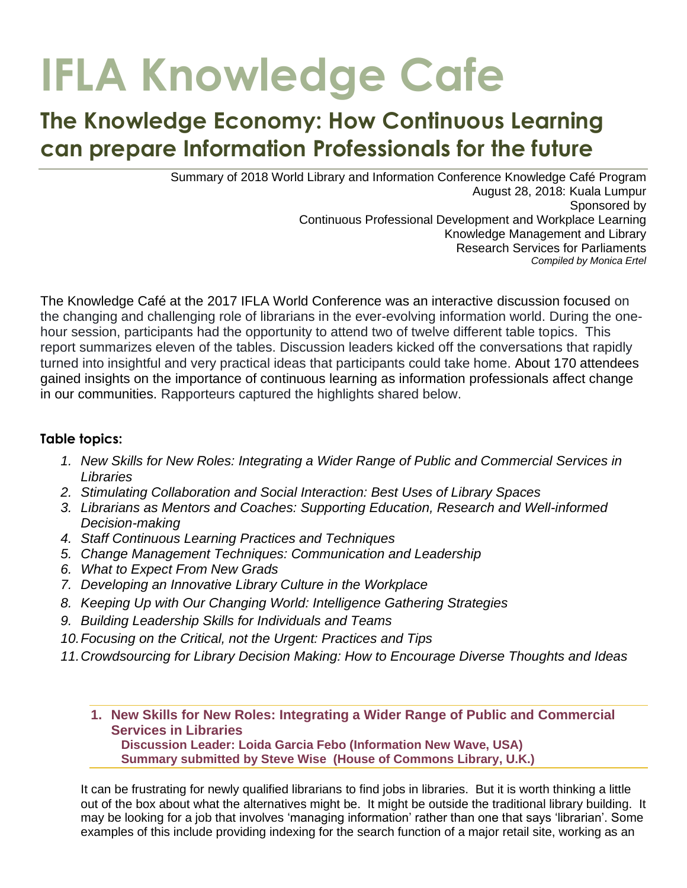# **IFLA Knowledge Cafe**

# **The Knowledge Economy: How Continuous Learning can prepare Information Professionals for the future**

Summary of 2018 World Library and Information Conference Knowledge Café Program August 28, 2018: Kuala Lumpur Sponsored by Continuous Professional Development and Workplace Learning Knowledge Management and Library Research Services for Parliaments *Compiled by Monica Ertel*

The Knowledge Café at the 2017 IFLA World Conference was an interactive discussion focused on the changing and challenging role of librarians in the ever-evolving information world. During the onehour session, participants had the opportunity to attend two of twelve different table topics. This report summarizes eleven of the tables. Discussion leaders kicked off the conversations that rapidly turned into insightful and very practical ideas that participants could take home. About 170 attendees gained insights on the importance of continuous learning as information professionals affect change in our communities. Rapporteurs captured the highlights shared below.

# **Table topics:**

- *1. New Skills for New Roles: Integrating a Wider Range of Public and Commercial Services in Libraries*
- *2. Stimulating Collaboration and Social Interaction: Best Uses of Library Spaces*
- *3. Librarians as Mentors and Coaches: Supporting Education, Research and Well-informed Decision-making*
- *4. Staff Continuous Learning Practices and Techniques*
- *5. Change Management Techniques: Communication and Leadership*
- *6. What to Expect From New Grads*
- *7. Developing an Innovative Library Culture in the Workplace*
- *8. Keeping Up with Our Changing World: Intelligence Gathering Strategies*
- *9. Building Leadership Skills for Individuals and Teams*
- *10.Focusing on the Critical, not the Urgent: Practices and Tips*
- *11.Crowdsourcing for Library Decision Making: How to Encourage Diverse Thoughts and Ideas*
	- **1. New Skills for New Roles: Integrating a Wider Range of Public and Commercial Services in Libraries Discussion Leader: Loida Garcia Febo (Information New Wave, USA) Summary submitted by Steve Wise (House of Commons Library, U.K.)**

It can be frustrating for newly qualified librarians to find jobs in libraries. But it is worth thinking a little out of the box about what the alternatives might be. It might be outside the traditional library building. It may be looking for a job that involves 'managing information' rather than one that says 'librarian'. Some examples of this include providing indexing for the search function of a major retail site, working as an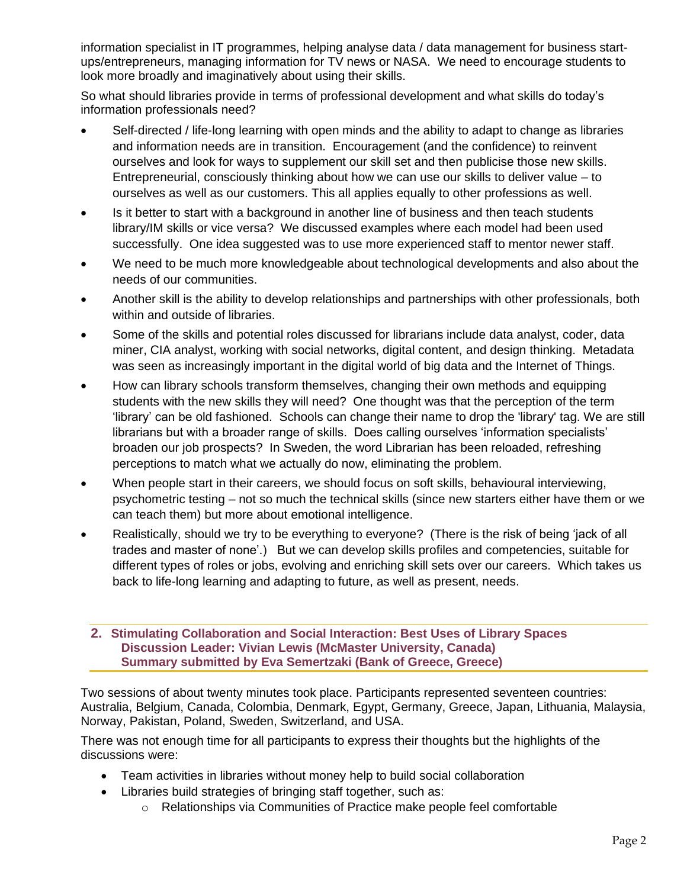information specialist in IT programmes, helping analyse data / data management for business startups/entrepreneurs, managing information for TV news or NASA. We need to encourage students to look more broadly and imaginatively about using their skills.

So what should libraries provide in terms of professional development and what skills do today's information professionals need?

- Self-directed / life-long learning with open minds and the ability to adapt to change as libraries and information needs are in transition. Encouragement (and the confidence) to reinvent ourselves and look for ways to supplement our skill set and then publicise those new skills. Entrepreneurial, consciously thinking about how we can use our skills to deliver value – to ourselves as well as our customers. This all applies equally to other professions as well.
- Is it better to start with a background in another line of business and then teach students library/IM skills or vice versa? We discussed examples where each model had been used successfully. One idea suggested was to use more experienced staff to mentor newer staff.
- We need to be much more knowledgeable about technological developments and also about the needs of our communities.
- Another skill is the ability to develop relationships and partnerships with other professionals, both within and outside of libraries.
- Some of the skills and potential roles discussed for librarians include data analyst, coder, data miner, CIA analyst, working with social networks, digital content, and design thinking. Metadata was seen as increasingly important in the digital world of big data and the Internet of Things.
- How can library schools transform themselves, changing their own methods and equipping students with the new skills they will need? One thought was that the perception of the term 'library' can be old fashioned. Schools can change their name to drop the 'library' tag. We are still librarians but with a broader range of skills. Does calling ourselves 'information specialists' broaden our job prospects? In Sweden, the word Librarian has been reloaded, refreshing perceptions to match what we actually do now, eliminating the problem.
- When people start in their careers, we should focus on soft skills, behavioural interviewing, psychometric testing – not so much the technical skills (since new starters either have them or we can teach them) but more about emotional intelligence.
- Realistically, should we try to be everything to everyone? (There is the risk of being 'jack of all trades and master of none'.) But we can develop skills profiles and competencies, suitable for different types of roles or jobs, evolving and enriching skill sets over our careers. Which takes us back to life-long learning and adapting to future, as well as present, needs.

#### **2. Stimulating Collaboration and Social Interaction: Best Uses of Library Spaces Discussion Leader: Vivian Lewis (McMaster University, Canada) Summary submitted by Eva Semertzaki (Bank of Greece, Greece)**

Two sessions of about twenty minutes took place. Participants represented seventeen countries: Australia, Belgium, Canada, Colombia, Denmark, Egypt, Germany, Greece, Japan, Lithuania, Malaysia, Norway, Pakistan, Poland, Sweden, Switzerland, and USA.

There was not enough time for all participants to express their thoughts but the highlights of the discussions were:

- Team activities in libraries without money help to build social collaboration
- Libraries build strategies of bringing staff together, such as:
	- o Relationships via Communities of Practice make people feel comfortable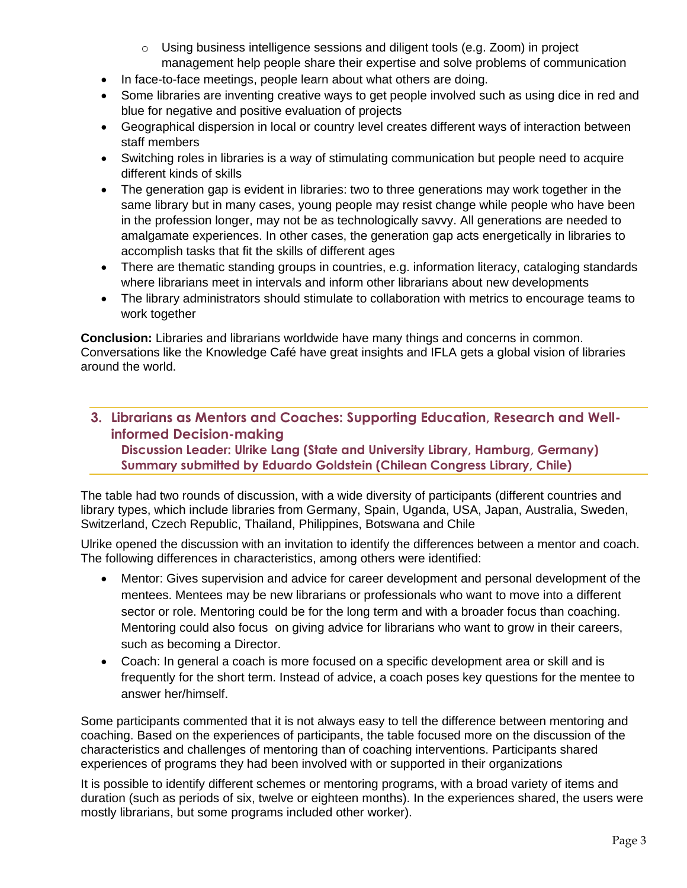- $\circ$  Using business intelligence sessions and diligent tools (e.g. Zoom) in project management help people share their expertise and solve problems of communication
- In face-to-face meetings, people learn about what others are doing.
- Some libraries are inventing creative ways to get people involved such as using dice in red and blue for negative and positive evaluation of projects
- Geographical dispersion in local or country level creates different ways of interaction between staff members
- Switching roles in libraries is a way of stimulating communication but people need to acquire different kinds of skills
- The generation gap is evident in libraries: two to three generations may work together in the same library but in many cases, young people may resist change while people who have been in the profession longer, may not be as technologically savvy. All generations are needed to amalgamate experiences. In other cases, the generation gap acts energetically in libraries to accomplish tasks that fit the skills of different ages
- There are thematic standing groups in countries, e.g. information literacy, cataloging standards where librarians meet in intervals and inform other librarians about new developments
- The library administrators should stimulate to collaboration with metrics to encourage teams to work together

**Conclusion:** Libraries and librarians worldwide have many things and concerns in common. Conversations like the Knowledge Café have great insights and IFLA gets a global vision of libraries around the world.

**3. Librarians as Mentors and Coaches: Supporting Education, Research and Wellinformed Decision-making** 

**Discussion Leader: Ulrike Lang (State and University Library, Hamburg, Germany) Summary submitted by Eduardo Goldstein (Chilean Congress Library, Chile)**

The table had two rounds of discussion, with a wide diversity of participants (different countries and library types, which include libraries from Germany, Spain, Uganda, USA, Japan, Australia, Sweden, Switzerland, Czech Republic, Thailand, Philippines, Botswana and Chile

Ulrike opened the discussion with an invitation to identify the differences between a mentor and coach. The following differences in characteristics, among others were identified:

- Mentor: Gives supervision and advice for career development and personal development of the mentees. Mentees may be new librarians or professionals who want to move into a different sector or role. Mentoring could be for the long term and with a broader focus than coaching. Mentoring could also focus on giving advice for librarians who want to grow in their careers, such as becoming a Director.
- Coach: In general a coach is more focused on a specific development area or skill and is frequently for the short term. Instead of advice, a coach poses key questions for the mentee to answer her/himself.

Some participants commented that it is not always easy to tell the difference between mentoring and coaching. Based on the experiences of participants, the table focused more on the discussion of the characteristics and challenges of mentoring than of coaching interventions. Participants shared experiences of programs they had been involved with or supported in their organizations

It is possible to identify different schemes or mentoring programs, with a broad variety of items and duration (such as periods of six, twelve or eighteen months). In the experiences shared, the users were mostly librarians, but some programs included other worker).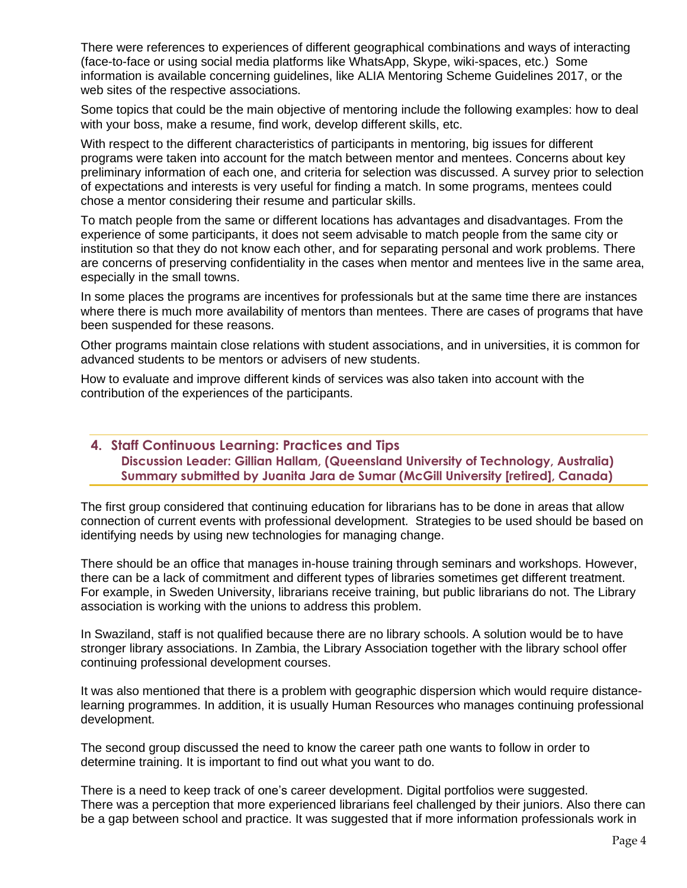There were references to experiences of different geographical combinations and ways of interacting (face-to-face or using social media platforms like WhatsApp, Skype, wiki-spaces, etc.) Some information is available concerning guidelines, like ALIA Mentoring Scheme Guidelines 2017, or the web sites of the respective associations.

Some topics that could be the main objective of mentoring include the following examples: how to deal with your boss, make a resume, find work, develop different skills, etc.

With respect to the different characteristics of participants in mentoring, big issues for different programs were taken into account for the match between mentor and mentees. Concerns about key preliminary information of each one, and criteria for selection was discussed. A survey prior to selection of expectations and interests is very useful for finding a match. In some programs, mentees could chose a mentor considering their resume and particular skills.

To match people from the same or different locations has advantages and disadvantages. From the experience of some participants, it does not seem advisable to match people from the same city or institution so that they do not know each other, and for separating personal and work problems. There are concerns of preserving confidentiality in the cases when mentor and mentees live in the same area, especially in the small towns.

In some places the programs are incentives for professionals but at the same time there are instances where there is much more availability of mentors than mentees. There are cases of programs that have been suspended for these reasons.

Other programs maintain close relations with student associations, and in universities, it is common for advanced students to be mentors or advisers of new students.

How to evaluate and improve different kinds of services was also taken into account with the contribution of the experiences of the participants.

#### **4. Staff Continuous Learning: Practices and Tips Discussion Leader: Gillian Hallam, (Queensland University of Technology, Australia) Summary submitted by Juanita Jara de Sumar (McGill University [retired], Canada)**

The first group considered that continuing education for librarians has to be done in areas that allow connection of current events with professional development. Strategies to be used should be based on identifying needs by using new technologies for managing change.

There should be an office that manages in-house training through seminars and workshops. However, there can be a lack of commitment and different types of libraries sometimes get different treatment. For example, in Sweden University, librarians receive training, but public librarians do not. The Library association is working with the unions to address this problem.

In Swaziland, staff is not qualified because there are no library schools. A solution would be to have stronger library associations. In Zambia, the Library Association together with the library school offer continuing professional development courses.

It was also mentioned that there is a problem with geographic dispersion which would require distancelearning programmes. In addition, it is usually Human Resources who manages continuing professional development.

The second group discussed the need to know the career path one wants to follow in order to determine training. It is important to find out what you want to do.

There is a need to keep track of one's career development. Digital portfolios were suggested. There was a perception that more experienced librarians feel challenged by their juniors. Also there can be a gap between school and practice. It was suggested that if more information professionals work in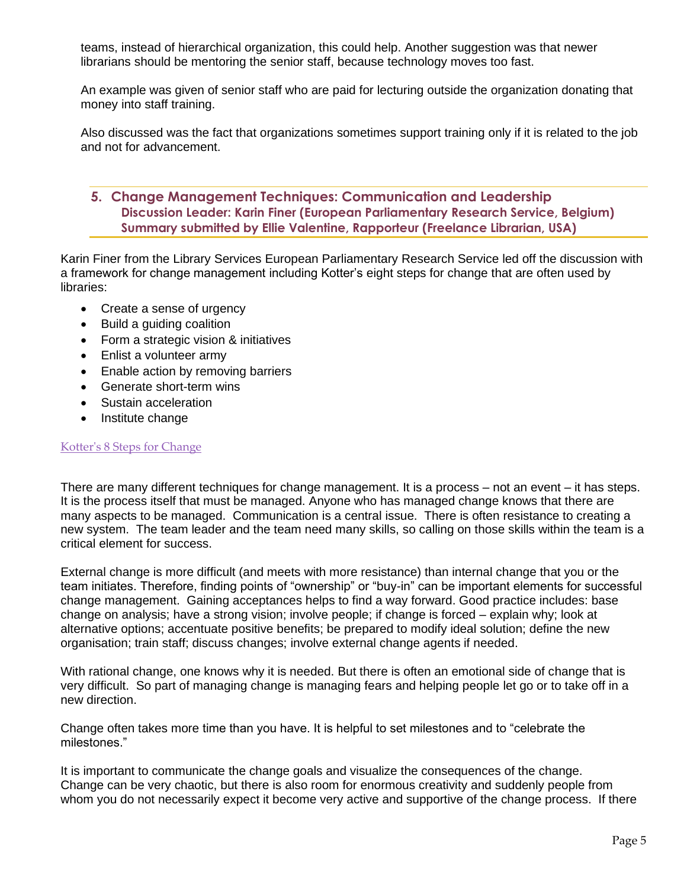teams, instead of hierarchical organization, this could help. Another suggestion was that newer librarians should be mentoring the senior staff, because technology moves too fast.

An example was given of senior staff who are paid for lecturing outside the organization donating that money into staff training.

Also discussed was the fact that organizations sometimes support training only if it is related to the job and not for advancement.

# **5. Change Management Techniques: Communication and Leadership Discussion Leader: Karin Finer (European Parliamentary Research Service, Belgium) Summary submitted by Ellie Valentine, Rapporteur (Freelance Librarian, USA)**

Karin Finer from the Library Services European Parliamentary Research Service led off the discussion with a framework for change management including Kotter's eight steps for change that are often used by libraries:

- Create a sense of urgency
- Build a guiding coalition
- Form a strategic vision & initiatives
- Enlist a volunteer army
- Enable action by removing barriers
- Generate short-term wins
- Sustain acceleration
- Institute change

#### [Kotter's 8 Steps for Change](https://www.kotterinternational.com/8-steps-process-for-leading-change/)

There are many different techniques for change management. It is a process – not an event – it has steps. It is the process itself that must be managed. Anyone who has managed change knows that there are many aspects to be managed. Communication is a central issue. There is often resistance to creating a new system. The team leader and the team need many skills, so calling on those skills within the team is a critical element for success.

External change is more difficult (and meets with more resistance) than internal change that you or the team initiates. Therefore, finding points of "ownership" or "buy-in" can be important elements for successful change management. Gaining acceptances helps to find a way forward. Good practice includes: base change on analysis; have a strong vision; involve people; if change is forced – explain why; look at alternative options; accentuate positive benefits; be prepared to modify ideal solution; define the new organisation; train staff; discuss changes; involve external change agents if needed.

With rational change, one knows why it is needed. But there is often an emotional side of change that is very difficult. So part of managing change is managing fears and helping people let go or to take off in a new direction.

Change often takes more time than you have. It is helpful to set milestones and to "celebrate the milestones."

It is important to communicate the change goals and visualize the consequences of the change. Change can be very chaotic, but there is also room for enormous creativity and suddenly people from whom you do not necessarily expect it become very active and supportive of the change process. If there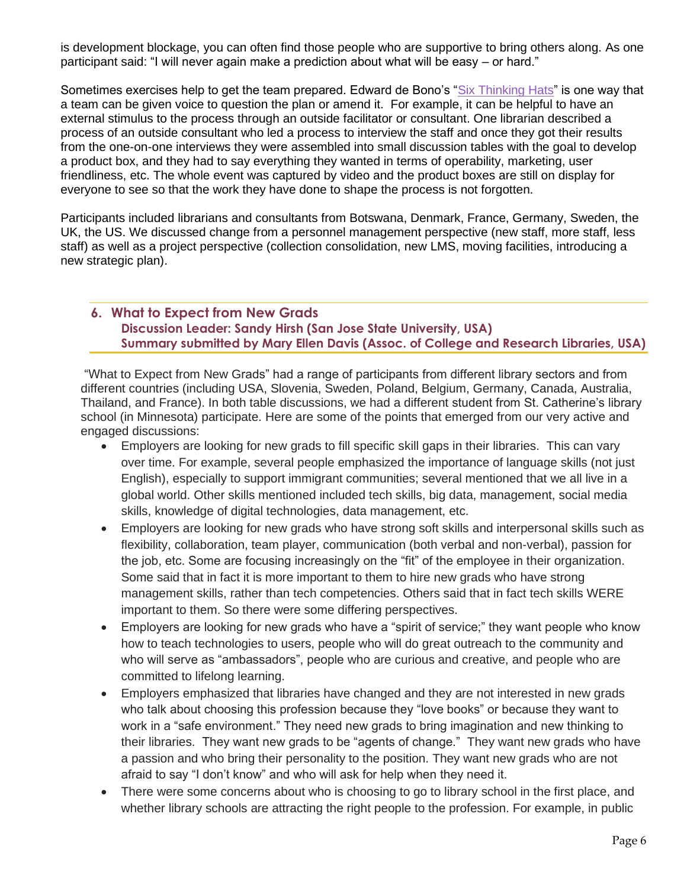is development blockage, you can often find those people who are supportive to bring others along. As one participant said: "I will never again make a prediction about what will be easy – or hard."

Sometimes exercises help to get the team prepared. Edward de Bono's ["Six Thinking Hats"](http://www.debonogroup.com/six_thinking_hats.php) is one way that a team can be given voice to question the plan or amend it. For example, it can be helpful to have an external stimulus to the process through an outside facilitator or consultant. One librarian described a process of an outside consultant who led a process to interview the staff and once they got their results from the one-on-one interviews they were assembled into small discussion tables with the goal to develop a product box, and they had to say everything they wanted in terms of operability, marketing, user friendliness, etc. The whole event was captured by video and the product boxes are still on display for everyone to see so that the work they have done to shape the process is not forgotten.

Participants included librarians and consultants from Botswana, Denmark, France, Germany, Sweden, the UK, the US. We discussed change from a personnel management perspective (new staff, more staff, less staff) as well as a project perspective (collection consolidation, new LMS, moving facilities, introducing a new strategic plan).

# **6. What to Expect from New Grads Discussion Leader: Sandy Hirsh (San Jose State University, USA) Summary submitted by Mary Ellen Davis (Assoc. of College and Research Libraries, USA)**

"What to Expect from New Grads" had a range of participants from different library sectors and from different countries (including USA, Slovenia, Sweden, Poland, Belgium, Germany, Canada, Australia, Thailand, and France). In both table discussions, we had a different student from St. Catherine's library school (in Minnesota) participate. Here are some of the points that emerged from our very active and engaged discussions:

- Employers are looking for new grads to fill specific skill gaps in their libraries. This can vary over time. For example, several people emphasized the importance of language skills (not just English), especially to support immigrant communities; several mentioned that we all live in a global world. Other skills mentioned included tech skills, big data, management, social media skills, knowledge of digital technologies, data management, etc.
- Employers are looking for new grads who have strong soft skills and interpersonal skills such as flexibility, collaboration, team player, communication (both verbal and non-verbal), passion for the job, etc. Some are focusing increasingly on the "fit" of the employee in their organization. Some said that in fact it is more important to them to hire new grads who have strong management skills, rather than tech competencies. Others said that in fact tech skills WERE important to them. So there were some differing perspectives.
- Employers are looking for new grads who have a "spirit of service;" they want people who know how to teach technologies to users, people who will do great outreach to the community and who will serve as "ambassadors", people who are curious and creative, and people who are committed to lifelong learning.
- Employers emphasized that libraries have changed and they are not interested in new grads who talk about choosing this profession because they "love books" or because they want to work in a "safe environment." They need new grads to bring imagination and new thinking to their libraries. They want new grads to be "agents of change." They want new grads who have a passion and who bring their personality to the position. They want new grads who are not afraid to say "I don't know" and who will ask for help when they need it.
- There were some concerns about who is choosing to go to library school in the first place, and whether library schools are attracting the right people to the profession. For example, in public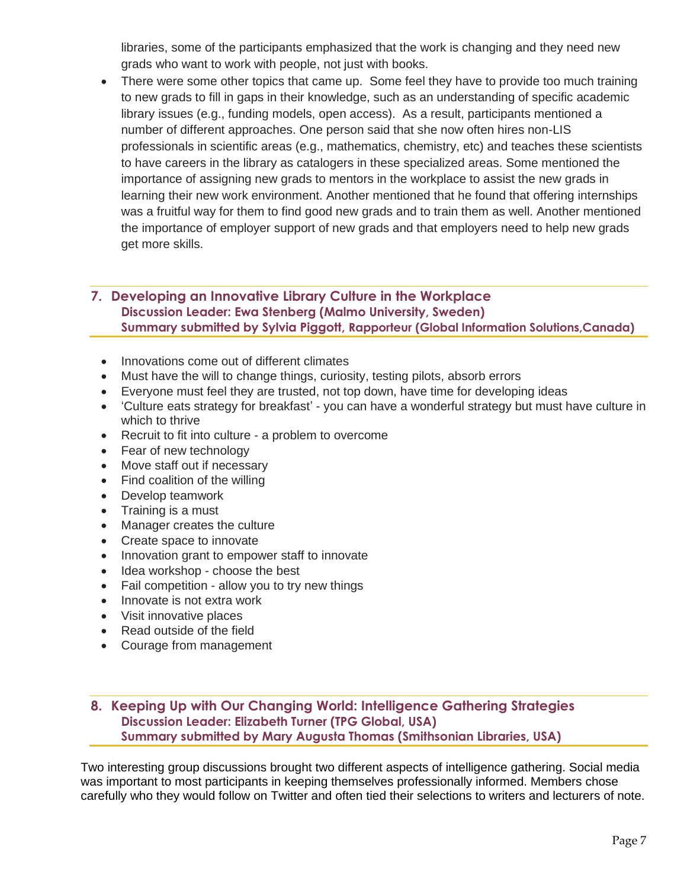libraries, some of the participants emphasized that the work is changing and they need new grads who want to work with people, not just with books.

There were some other topics that came up. Some feel they have to provide too much training to new grads to fill in gaps in their knowledge, such as an understanding of specific academic library issues (e.g., funding models, open access). As a result, participants mentioned a number of different approaches. One person said that she now often hires non-LIS professionals in scientific areas (e.g., mathematics, chemistry, etc) and teaches these scientists to have careers in the library as catalogers in these specialized areas. Some mentioned the importance of assigning new grads to mentors in the workplace to assist the new grads in learning their new work environment. Another mentioned that he found that offering internships was a fruitful way for them to find good new grads and to train them as well. Another mentioned the importance of employer support of new grads and that employers need to help new grads get more skills.

# **7. Developing an Innovative Library Culture in the Workplace Discussion Leader: Ewa Stenberg (Malmo University, Sweden) Summary submitted by Sylvia Piggott, Rapporteur (Global Information Solutions,Canada)**

- Innovations come out of different climates
- Must have the will to change things, curiosity, testing pilots, absorb errors
- Everyone must feel they are trusted, not top down, have time for developing ideas
- 'Culture eats strategy for breakfast' you can have a wonderful strategy but must have culture in which to thrive
- Recruit to fit into culture a problem to overcome
- Fear of new technology
- Move staff out if necessary
- Find coalition of the willing
- Develop teamwork
- Training is a must
- Manager creates the culture
- Create space to innovate
- Innovation grant to empower staff to innovate
- Idea workshop choose the best
- Fail competition allow you to try new things
- Innovate is not extra work
- Visit innovative places
- Read outside of the field
- Courage from management

# **8. Keeping Up with Our Changing World: Intelligence Gathering Strategies Discussion Leader: Elizabeth Turner (TPG Global, USA) Summary submitted by Mary Augusta Thomas (Smithsonian Libraries, USA)**

Two interesting group discussions brought two different aspects of intelligence gathering. Social media was important to most participants in keeping themselves professionally informed. Members chose carefully who they would follow on Twitter and often tied their selections to writers and lecturers of note.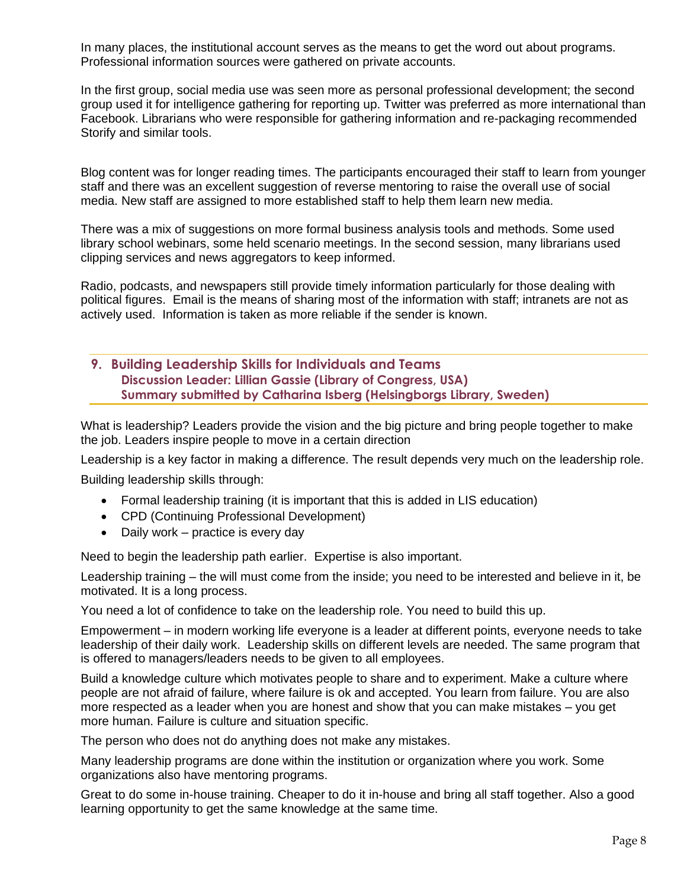In many places, the institutional account serves as the means to get the word out about programs. Professional information sources were gathered on private accounts.

In the first group, social media use was seen more as personal professional development; the second group used it for intelligence gathering for reporting up. Twitter was preferred as more international than Facebook. Librarians who were responsible for gathering information and re-packaging recommended Storify and similar tools.

Blog content was for longer reading times. The participants encouraged their staff to learn from younger staff and there was an excellent suggestion of reverse mentoring to raise the overall use of social media. New staff are assigned to more established staff to help them learn new media.

There was a mix of suggestions on more formal business analysis tools and methods. Some used library school webinars, some held scenario meetings. In the second session, many librarians used clipping services and news aggregators to keep informed.

Radio, podcasts, and newspapers still provide timely information particularly for those dealing with political figures. Email is the means of sharing most of the information with staff; intranets are not as actively used. Information is taken as more reliable if the sender is known.

# **9. Building Leadership Skills for Individuals and Teams Discussion Leader: Lillian Gassie (Library of Congress, USA) Summary submitted by Catharina Isberg (Helsingborgs Library, Sweden)**

What is leadership? Leaders provide the vision and the big picture and bring people together to make the job. Leaders inspire people to move in a certain direction

Leadership is a key factor in making a difference. The result depends very much on the leadership role. Building leadership skills through:

- Formal leadership training (it is important that this is added in LIS education)
- CPD (Continuing Professional Development)
- Daily work practice is every day

Need to begin the leadership path earlier. Expertise is also important.

Leadership training – the will must come from the inside; you need to be interested and believe in it, be motivated. It is a long process.

You need a lot of confidence to take on the leadership role. You need to build this up.

Empowerment – in modern working life everyone is a leader at different points, everyone needs to take leadership of their daily work. Leadership skills on different levels are needed. The same program that is offered to managers/leaders needs to be given to all employees.

Build a knowledge culture which motivates people to share and to experiment. Make a culture where people are not afraid of failure, where failure is ok and accepted. You learn from failure. You are also more respected as a leader when you are honest and show that you can make mistakes – you get more human. Failure is culture and situation specific.

The person who does not do anything does not make any mistakes.

Many leadership programs are done within the institution or organization where you work. Some organizations also have mentoring programs.

Great to do some in-house training. Cheaper to do it in-house and bring all staff together. Also a good learning opportunity to get the same knowledge at the same time.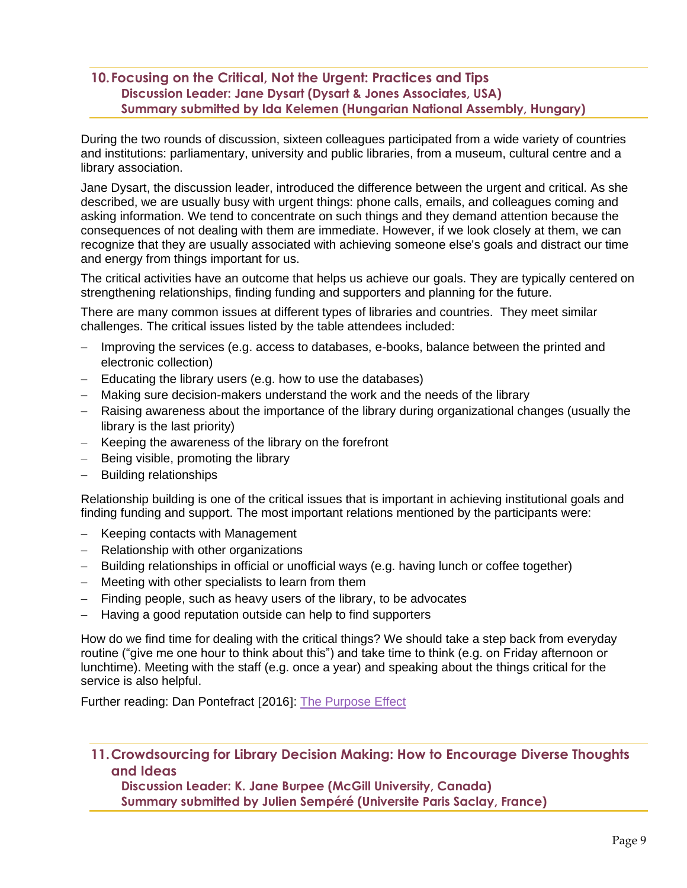# **10.Focusing on the Critical, Not the Urgent: Practices and Tips Discussion Leader: Jane Dysart (Dysart & Jones Associates, USA) Summary submitted by Ida Kelemen (Hungarian National Assembly, Hungary)**

During the two rounds of discussion, sixteen colleagues participated from a wide variety of countries and institutions: parliamentary, university and public libraries, from a museum, cultural centre and a library association.

Jane Dysart, the discussion leader, introduced the difference between the urgent and critical. As she described, we are usually busy with urgent things: phone calls, emails, and colleagues coming and asking information. We tend to concentrate on such things and they demand attention because the consequences of not dealing with them are immediate. However, if we look closely at them, we can recognize that they are usually associated with achieving someone else's goals and distract our time and energy from things important for us.

The critical activities have an outcome that helps us achieve our goals. They are typically centered on strengthening relationships, finding funding and supporters and planning for the future.

There are many common issues at different types of libraries and countries. They meet similar challenges. The critical issues listed by the table attendees included:

- Improving the services (e.g. access to databases, e-books, balance between the printed and electronic collection)
- Educating the library users (e.g. how to use the databases)
- Making sure decision-makers understand the work and the needs of the library
- − Raising awareness about the importance of the library during organizational changes (usually the library is the last priority)
- − Keeping the awareness of the library on the forefront
- − Being visible, promoting the library
- − Building relationships

Relationship building is one of the critical issues that is important in achieving institutional goals and finding funding and support. The most important relations mentioned by the participants were:

- − Keeping contacts with Management
- − Relationship with other organizations
- − Building relationships in official or unofficial ways (e.g. having lunch or coffee together)
- − Meeting with other specialists to learn from them
- − Finding people, such as heavy users of the library, to be advocates
- Having a good reputation outside can help to find supporters

How do we find time for dealing with the critical things? We should take a step back from everyday routine ("give me one hour to think about this") and take time to think (e.g. on Friday afternoon or lunchtime). Meeting with the staff (e.g. once a year) and speaking about the things critical for the service is also helpful.

Further reading: Dan Pontefract [2016]: [The Purpose Effect](http://www.danpontefract.com/wp-content/uploads/2016/03/Purpose-Effect_SampleGiveAway.pdf)

**11.Crowdsourcing for Library Decision Making: How to Encourage Diverse Thoughts and Ideas** 

**Discussion Leader: K. Jane Burpee (McGill University, Canada) Summary submitted by Julien Sempéré (Universite Paris Saclay, France)**